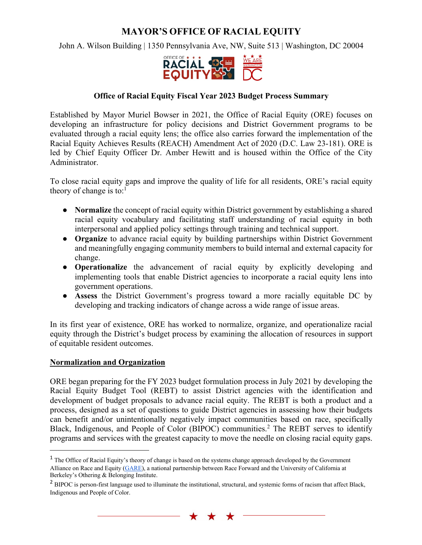# **MAYOR'S OFFICE OF RACIAL EQUITY**

John A. Wilson Building | 1350 Pennsylvania Ave, NW, Suite 513 | Washington, DC 20004



#### **Office of Racial Equity Fiscal Year 2023 Budget Process Summary**

Established by Mayor Muriel Bowser in 2021, the Office of Racial Equity (ORE) focuses on developing an infrastructure for policy decisions and District Government programs to be evaluated through a racial equity lens; the office also carries forward the implementation of the Racial Equity Achieves Results (REACH) Amendment Act of 2020 (D.C. Law 23-181). ORE is led by Chief Equity Officer Dr. Amber Hewitt and is housed within the Office of the City Administrator.

To close racial equity gaps and improve the quality of life for all residents, ORE's racial equity theory of change is to: $<sup>1</sup>$ </sup>

- **Normalize** the concept of racial equity within District government by establishing a shared racial equity vocabulary and facilitating staff understanding of racial equity in both interpersonal and applied policy settings through training and technical support.
- **Organize** to advance racial equity by building partnerships within District Government and meaningfully engaging community members to build internal and external capacity for change.
- **Operationalize** the advancement of racial equity by explicitly developing and implementing tools that enable District agencies to incorporate a racial equity lens into government operations.
- **Assess** the District Government's progress toward a more racially equitable DC by developing and tracking indicators of change across a wide range of issue areas.

In its first year of existence, ORE has worked to normalize, organize, and operationalize racial equity through the District's budget process by examining the allocation of resources in support of equitable resident outcomes.

#### **Normalization and Organization**

ORE began preparing for the FY 2023 budget formulation process in July 2021 by developing the Racial Equity Budget Tool (REBT) to assist District agencies with the identification and development of budget proposals to advance racial equity. The REBT is both a product and a process, designed as a set of questions to guide District agencies in assessing how their budgets can benefit and/or unintentionally negatively impact communities based on race, specifically Black, Indigenous, and People of Color (BIPOC) communities.<sup>2</sup> The REBT serves to identify programs and services with the greatest capacity to move the needle on closing racial equity gaps.

 $\star$ 

<sup>&</sup>lt;sup>1</sup> The Office of Racial Equity's theory of change is based on the systems change approach developed by the Government Alliance on Race and Equity (GARE), a national partnership between Race Forward and the University of California at Berkeley's Othering & Belonging Institute.

<sup>&</sup>lt;sup>2</sup> BIPOC is person-first language used to illuminate the institutional, structural, and systemic forms of racism that affect Black, Indigenous and People of Color.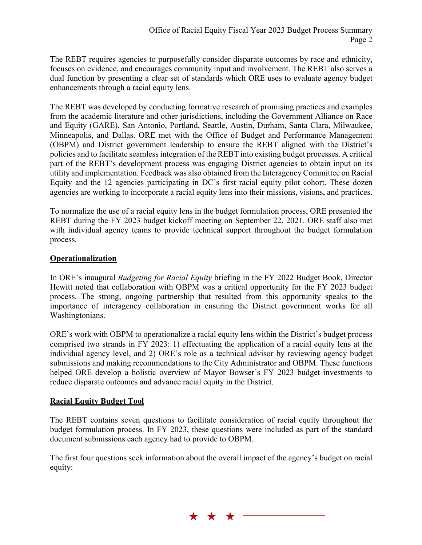The REBT requires agencies to purposefully consider disparate outcomes by race and ethnicity, focuses on evidence, and encourages community input and involvement. The REBT also serves a dual function by presenting a clear set of standards which ORE uses to evaluate agency budget enhancements through a racial equity lens.

The REBT was developed by conducting formative research of promising practices and examples from the academic literature and other jurisdictions, including the Government Alliance on Race and Equity (GARE), San Antonio, Portland, Seattle, Austin, Durham, Santa Clara, Milwaukee, Minneapolis, and Dallas. ORE met with the Office of Budget and Performance Management (OBPM) and District government leadership to ensure the REBT aligned with the District's policies and to facilitate seamless integration of the REBT into existing budget processes. A critical part of the REBT's development process was engaging District agencies to obtain input on its utility and implementation. Feedback was also obtained from the Interagency Committee on Racial Equity and the 12 agencies participating in DC's first racial equity pilot cohort. These dozen agencies are working to incorporate a racial equity lens into their missions, visions, and practices.

To normalize the use of a racial equity lens in the budget formulation process, ORE presented the REBT during the FY 2023 budget kickoff meeting on September 22, 2021. ORE staff also met with individual agency teams to provide technical support throughout the budget formulation process.

## **Operationalization**

In ORE's inaugural *Budgeting for Racial Equity* briefing in the FY 2022 Budget Book, Director Hewitt noted that collaboration with OBPM was a critical opportunity for the FY 2023 budget process. The strong, ongoing partnership that resulted from this opportunity speaks to the importance of interagency collaboration in ensuring the District government works for all Washingtonians.

ORE's work with OBPM to operationalize a racial equity lens within the District's budget process comprised two strands in FY 2023: 1) effectuating the application of a racial equity lens at the individual agency level, and 2) ORE's role as a technical advisor by reviewing agency budget submissions and making recommendations to the City Administrator and OBPM. These functions helped ORE develop a holistic overview of Mayor Bowser's FY 2023 budget investments to reduce disparate outcomes and advance racial equity in the District.

# **Racial Equity Budget Tool**

The REBT contains seven questions to facilitate consideration of racial equity throughout the budget formulation process. In FY 2023, these questions were included as part of the standard document submissions each agency had to provide to OBPM.

The first four questions seek information about the overall impact of the agency's budget on racial equity:

 $\star$ 

 $\star$ 

 $\star$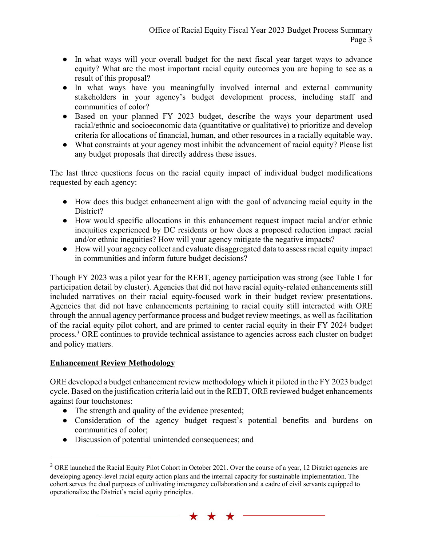- In what ways will your overall budget for the next fiscal year target ways to advance equity? What are the most important racial equity outcomes you are hoping to see as a result of this proposal?
- In what ways have you meaningfully involved internal and external community stakeholders in your agency's budget development process, including staff and communities of color?
- Based on your planned FY 2023 budget, describe the ways your department used racial/ethnic and socioeconomic data (quantitative or qualitative) to prioritize and develop criteria for allocations of financial, human, and other resources in a racially equitable way.
- What constraints at your agency most inhibit the advancement of racial equity? Please list any budget proposals that directly address these issues.

The last three questions focus on the racial equity impact of individual budget modifications requested by each agency:

- How does this budget enhancement align with the goal of advancing racial equity in the District?
- How would specific allocations in this enhancement request impact racial and/or ethnic inequities experienced by DC residents or how does a proposed reduction impact racial and/or ethnic inequities? How will your agency mitigate the negative impacts?
- How will your agency collect and evaluate disaggregated data to assess racial equity impact in communities and inform future budget decisions?

Though FY 2023 was a pilot year for the REBT, agency participation was strong (see Table 1 for participation detail by cluster). Agencies that did not have racial equity-related enhancements still included narratives on their racial equity-focused work in their budget review presentations. Agencies that did not have enhancements pertaining to racial equity still interacted with ORE through the annual agency performance process and budget review meetings, as well as facilitation of the racial equity pilot cohort, and are primed to center racial equity in their FY 2024 budget process.3 ORE continues to provide technical assistance to agencies across each cluster on budget and policy matters.

### **Enhancement Review Methodology**

ORE developed a budget enhancement review methodology which it piloted in the FY 2023 budget cycle. Based on the justification criteria laid out in the REBT, ORE reviewed budget enhancements against four touchstones:

- The strength and quality of the evidence presented;
- Consideration of the agency budget request's potential benefits and burdens on communities of color;
- Discussion of potential unintended consequences; and

<sup>&</sup>lt;sup>3</sup> ORE launched the Racial Equity Pilot Cohort in October 2021. Over the course of a year, 12 District agencies are developing agency-level racial equity action plans and the internal capacity for sustainable implementation. The cohort serves the dual purposes of cultivating interagency collaboration and a cadre of civil servants equipped to operationalize the District's racial equity principles.

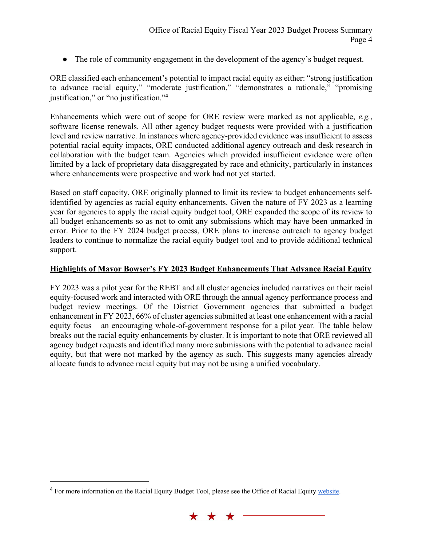● The role of community engagement in the development of the agency's budget request.

ORE classified each enhancement's potential to impact racial equity as either: "strong justification to advance racial equity," "moderate justification," "demonstrates a rationale," "promising justification," or "no justification."<sup>4</sup>

Enhancements which were out of scope for ORE review were marked as not applicable, *e.g.*, software license renewals. All other agency budget requests were provided with a justification level and review narrative. In instances where agency-provided evidence was insufficient to assess potential racial equity impacts, ORE conducted additional agency outreach and desk research in collaboration with the budget team. Agencies which provided insufficient evidence were often limited by a lack of proprietary data disaggregated by race and ethnicity, particularly in instances where enhancements were prospective and work had not yet started.

Based on staff capacity, ORE originally planned to limit its review to budget enhancements selfidentified by agencies as racial equity enhancements. Given the nature of FY 2023 as a learning year for agencies to apply the racial equity budget tool, ORE expanded the scope of its review to all budget enhancements so as not to omit any submissions which may have been unmarked in error. Prior to the FY 2024 budget process, ORE plans to increase outreach to agency budget leaders to continue to normalize the racial equity budget tool and to provide additional technical support.

### **Highlights of Mayor Bowser's FY 2023 Budget Enhancements That Advance Racial Equity**

FY 2023 was a pilot year for the REBT and all cluster agencies included narratives on their racial equity-focused work and interacted with ORE through the annual agency performance process and budget review meetings. Of the District Government agencies that submitted a budget enhancement in FY 2023, 66% of cluster agencies submitted at least one enhancement with a racial equity focus – an encouraging whole-of-government response for a pilot year. The table below breaks out the racial equity enhancements by cluster. It is important to note that ORE reviewed all agency budget requests and identified many more submissions with the potential to advance racial equity, but that were not marked by the agency as such. This suggests many agencies already allocate funds to advance racial equity but may not be using a unified vocabulary.

<sup>&</sup>lt;sup>4</sup> For more information on the Racial Equity Budget Tool, please see the Office of Racial Equity website.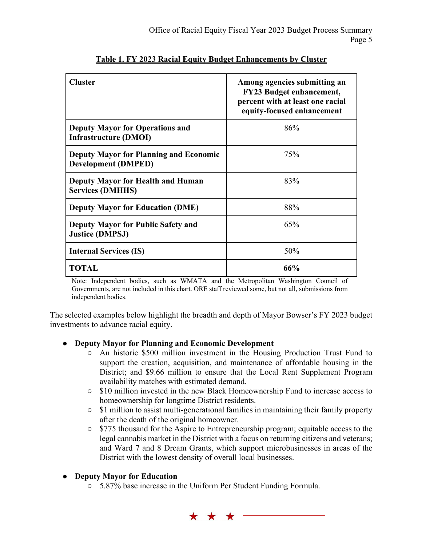| <b>Cluster</b>                                                              | Among agencies submitting an<br><b>FY23 Budget enhancement,</b><br>percent with at least one racial<br>equity-focused enhancement |
|-----------------------------------------------------------------------------|-----------------------------------------------------------------------------------------------------------------------------------|
| <b>Deputy Mayor for Operations and</b><br><b>Infrastructure (DMOI)</b>      | 86%                                                                                                                               |
| <b>Deputy Mayor for Planning and Economic</b><br><b>Development (DMPED)</b> | 75%                                                                                                                               |
| <b>Deputy Mayor for Health and Human</b><br><b>Services (DMHHS)</b>         | 83%                                                                                                                               |
| <b>Deputy Mayor for Education (DME)</b>                                     | 88%                                                                                                                               |
| <b>Deputy Mayor for Public Safety and</b><br><b>Justice (DMPSJ)</b>         | 65%                                                                                                                               |
| <b>Internal Services (IS)</b>                                               | 50%                                                                                                                               |
| <b>TOTAL</b>                                                                | 66%                                                                                                                               |

# **Table 1. FY 2023 Racial Equity Budget Enhancements by Cluster**

Note: Independent bodies, such as WMATA and the Metropolitan Washington Council of Governments, are not included in this chart. ORE staff reviewed some, but not all, submissions from independent bodies.

The selected examples below highlight the breadth and depth of Mayor Bowser's FY 2023 budget investments to advance racial equity.

### ● **Deputy Mayor for Planning and Economic Development**

- An historic \$500 million investment in the Housing Production Trust Fund to support the creation, acquisition, and maintenance of affordable housing in the District; and \$9.66 million to ensure that the Local Rent Supplement Program availability matches with estimated demand.
- \$10 million invested in the new Black Homeownership Fund to increase access to homeownership for longtime District residents.
- $\circ$  \$1 million to assist multi-generational families in maintaining their family property after the death of the original homeowner.
- \$775 thousand for the Aspire to Entrepreneurship program; equitable access to the legal cannabis market in the District with a focus on returning citizens and veterans; and Ward 7 and 8 Dream Grants, which support microbusinesses in areas of the District with the lowest density of overall local businesses.

### ● **Deputy Mayor for Education**

○ 5.87% base increase in the Uniform Per Student Funding Formula.

\* \* \*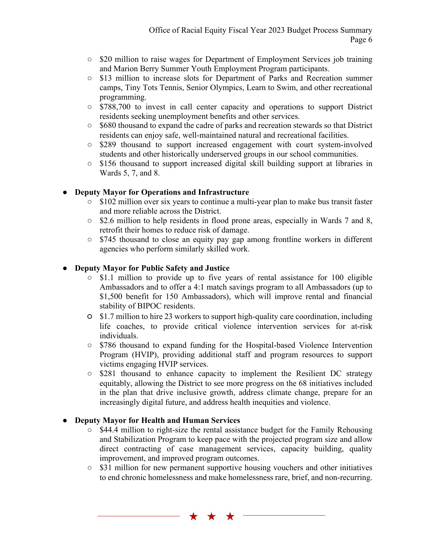- \$20 million to raise wages for Department of Employment Services job training and Marion Berry Summer Youth Employment Program participants.
- \$13 million to increase slots for Department of Parks and Recreation summer camps, Tiny Tots Tennis, Senior Olympics, Learn to Swim, and other recreational programming.
- \$788,700 to invest in call center capacity and operations to support District residents seeking unemployment benefits and other services.
- \$680 thousand to expand the cadre of parks and recreation stewards so that District residents can enjoy safe, well-maintained natural and recreational facilities.
- \$289 thousand to support increased engagement with court system-involved students and other historically underserved groups in our school communities.
- \$156 thousand to support increased digital skill building support at libraries in Wards 5, 7, and 8.

## ● **Deputy Mayor for Operations and Infrastructure**

- \$102 million over six years to continue a multi-year plan to make bus transit faster and more reliable across the District.
- \$2.6 million to help residents in flood prone areas, especially in Wards 7 and 8, retrofit their homes to reduce risk of damage.
- \$745 thousand to close an equity pay gap among frontline workers in different agencies who perform similarly skilled work.

## ● **Deputy Mayor for Public Safety and Justice**

- \$1.1 million to provide up to five years of rental assistance for 100 eligible Ambassadors and to offer a 4:1 match savings program to all Ambassadors (up to \$1,500 benefit for 150 Ambassadors), which will improve rental and financial stability of BIPOC residents.
- \$1.7 million to hire 23 workers to support high-quality care coordination, including life coaches, to provide critical violence intervention services for at-risk individuals.
- \$786 thousand to expand funding for the Hospital-based Violence Intervention Program (HVIP), providing additional staff and program resources to support victims engaging HVIP services.
- \$281 thousand to enhance capacity to implement the Resilient DC strategy equitably, allowing the District to see more progress on the 68 initiatives included in the plan that drive inclusive growth, address climate change, prepare for an increasingly digital future, and address health inequities and violence.

### ● **Deputy Mayor for Health and Human Services**

- \$44.4 million to right-size the rental assistance budget for the Family Rehousing and Stabilization Program to keep pace with the projected program size and allow direct contracting of case management services, capacity building, quality improvement, and improved program outcomes.
- \$31 million for new permanent supportive housing vouchers and other initiatives to end chronic homelessness and make homelessness rare, brief, and non-recurring.

\* \* \*